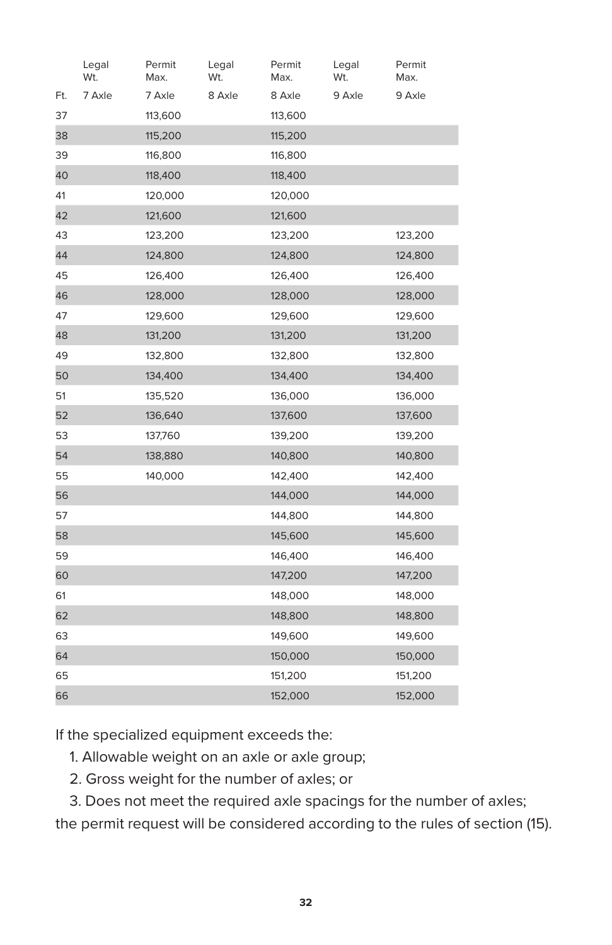|     | Legal<br>Wt. | Permit<br>Max. | Legal<br>Wt. | Permit<br>Max. | Legal<br>Wt. | Permit<br>Max. |
|-----|--------------|----------------|--------------|----------------|--------------|----------------|
| Ft. | 7 Axle       | 7 Axle         | 8 Axle       | 8 Axle         | 9 Axle       | 9 Axle         |
| 37  |              | 113,600        |              | 113,600        |              |                |
| 38  |              | 115,200        |              | 115,200        |              |                |
| 39  |              | 116,800        |              | 116,800        |              |                |
| 40  |              | 118,400        |              | 118,400        |              |                |
| 41  |              | 120,000        |              | 120,000        |              |                |
| 42  |              | 121,600        |              | 121,600        |              |                |
| 43  |              | 123,200        |              | 123,200        |              | 123,200        |
| 44  |              | 124,800        |              | 124,800        |              | 124,800        |
| 45  |              | 126,400        |              | 126,400        |              | 126,400        |
| 46  |              | 128,000        |              | 128,000        |              | 128,000        |
| 47  |              | 129,600        |              | 129,600        |              | 129,600        |
| 48  |              | 131,200        |              | 131,200        |              | 131,200        |
| 49  |              | 132,800        |              | 132,800        |              | 132,800        |
| 50  |              | 134,400        |              | 134,400        |              | 134,400        |
| 51  |              | 135,520        |              | 136,000        |              | 136,000        |
| 52  |              | 136,640        |              | 137,600        |              | 137,600        |
| 53  |              | 137,760        |              | 139,200        |              | 139,200        |
| 54  |              | 138,880        |              | 140,800        |              | 140,800        |
| 55  |              | 140,000        |              | 142,400        |              | 142,400        |
| 56  |              |                |              | 144,000        |              | 144,000        |
| 57  |              |                |              | 144,800        |              | 144,800        |
| 58  |              |                |              | 145,600        |              | 145,600        |
| 59  |              |                |              | 146,400        |              | 146,400        |
| 60  |              |                |              | 147,200        |              | 147,200        |
| 61  |              |                |              | 148,000        |              | 148,000        |
| 62  |              |                |              | 148,800        |              | 148,800        |
| 63  |              |                |              | 149,600        |              | 149,600        |
| 64  |              |                |              | 150,000        |              | 150,000        |
| 65  |              |                |              | 151,200        |              | 151,200        |
| 66  |              |                |              | 152,000        |              | 152,000        |

If the specialized equipment exceeds the:

- 1. Allowable weight on an axle or axle group;
- 2. Gross weight for the number of axles; or

3. Does not meet the required axle spacings for the number of axles;

the permit request will be considered according to the rules of section (15).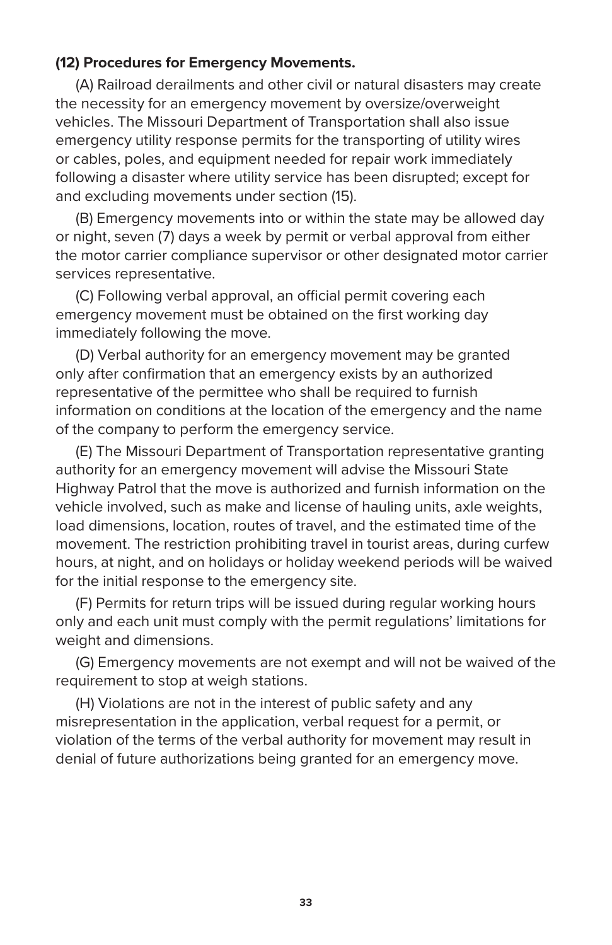## **(12) Procedures for Emergency Movements.**

(A) Railroad derailments and other civil or natural disasters may create the necessity for an emergency movement by oversize/overweight vehicles. The Missouri Department of Transportation shall also issue emergency utility response permits for the transporting of utility wires or cables, poles, and equipment needed for repair work immediately following a disaster where utility service has been disrupted; except for and excluding movements under section (15).

(B) Emergency movements into or within the state may be allowed day or night, seven (7) days a week by permit or verbal approval from either the motor carrier compliance supervisor or other designated motor carrier services representative.

(C) Following verbal approval, an official permit covering each emergency movement must be obtained on the first working day immediately following the move.

(D) Verbal authority for an emergency movement may be granted only after confirmation that an emergency exists by an authorized representative of the permittee who shall be required to furnish information on conditions at the location of the emergency and the name of the company to perform the emergency service.

(E) The Missouri Department of Transportation representative granting authority for an emergency movement will advise the Missouri State Highway Patrol that the move is authorized and furnish information on the vehicle involved, such as make and license of hauling units, axle weights, load dimensions, location, routes of travel, and the estimated time of the movement. The restriction prohibiting travel in tourist areas, during curfew hours, at night, and on holidays or holiday weekend periods will be waived for the initial response to the emergency site.

(F) Permits for return trips will be issued during regular working hours only and each unit must comply with the permit regulations' limitations for weight and dimensions.

(G) Emergency movements are not exempt and will not be waived of the requirement to stop at weigh stations.

(H) Violations are not in the interest of public safety and any misrepresentation in the application, verbal request for a permit, or violation of the terms of the verbal authority for movement may result in denial of future authorizations being granted for an emergency move.